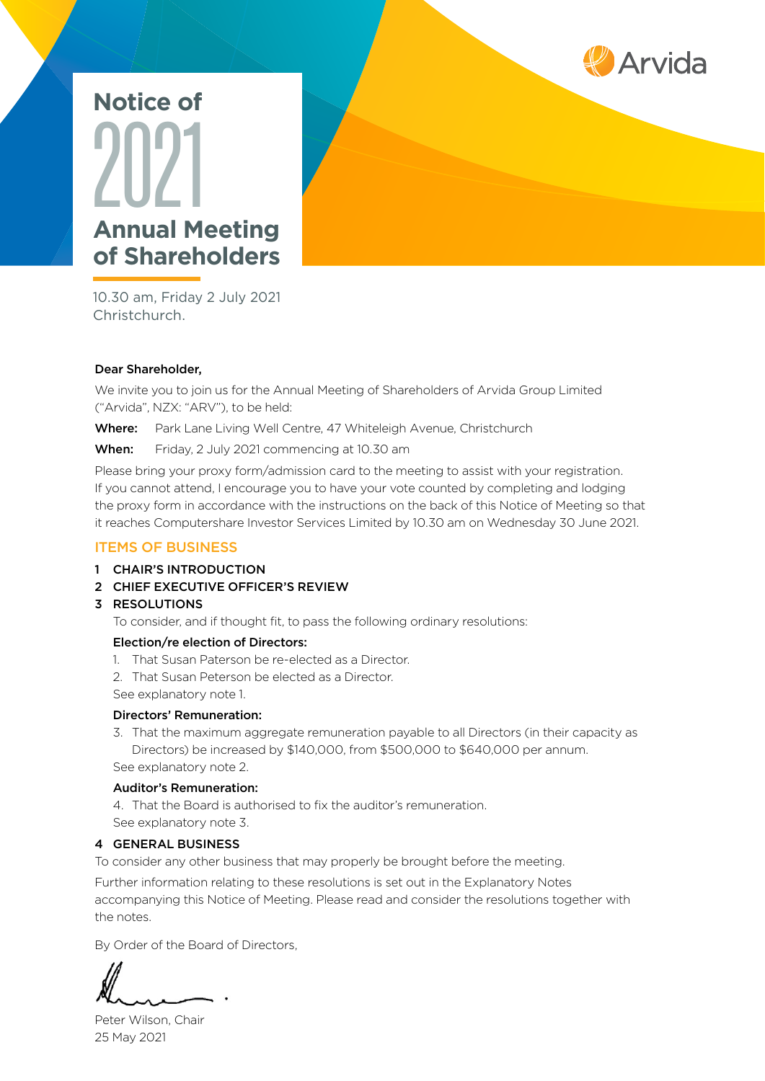

# **Annual Meeting of Shareholders** 2021 **Notice of**

10.30 am, Friday 2 July 2021 Christchurch.

#### Dear Shareholder,

We invite you to join us for the Annual Meeting of Shareholders of Arvida Group Limited ("Arvida", NZX: "ARV"), to be held:

Where: Park Lane Living Well Centre, 47 Whiteleigh Avenue, Christchurch

When: Friday, 2 July 2021 commencing at 10.30 am

Please bring your proxy form/admission card to the meeting to assist with your registration. If you cannot attend, I encourage you to have your vote counted by completing and lodging the proxy form in accordance with the instructions on the back of this Notice of Meeting so that it reaches Computershare Investor Services Limited by 10.30 am on Wednesday 30 June 2021.

#### ITEMS OF BUSINESS

- 1 CHAIR'S INTRODUCTION
- 2 CHIEF EXECUTIVE OFFICER'S REVIEW

#### 3 RESOLUTIONS

To consider, and if thought fit, to pass the following ordinary resolutions:

#### Election/re election of Directors:

- 1. That Susan Paterson be re-elected as a Director.
- 2. That Susan Peterson be elected as a Director.
- See explanatory note 1.

#### Directors' Remuneration:

3. That the maximum aggregate remuneration payable to all Directors (in their capacity as Directors) be increased by \$140,000, from \$500,000 to \$640,000 per annum. See explanatory note 2.

#### Auditor's Remuneration:

4. That the Board is authorised to fix the auditor's remuneration. See explanatory note 3.

#### 4 GENERAL BUSINESS

To consider any other business that may properly be brought before the meeting.

Further information relating to these resolutions is set out in the Explanatory Notes accompanying this Notice of Meeting. Please read and consider the resolutions together with the notes.

By Order of the Board of Directors,

Peter Wilson, Chair 25 May 2021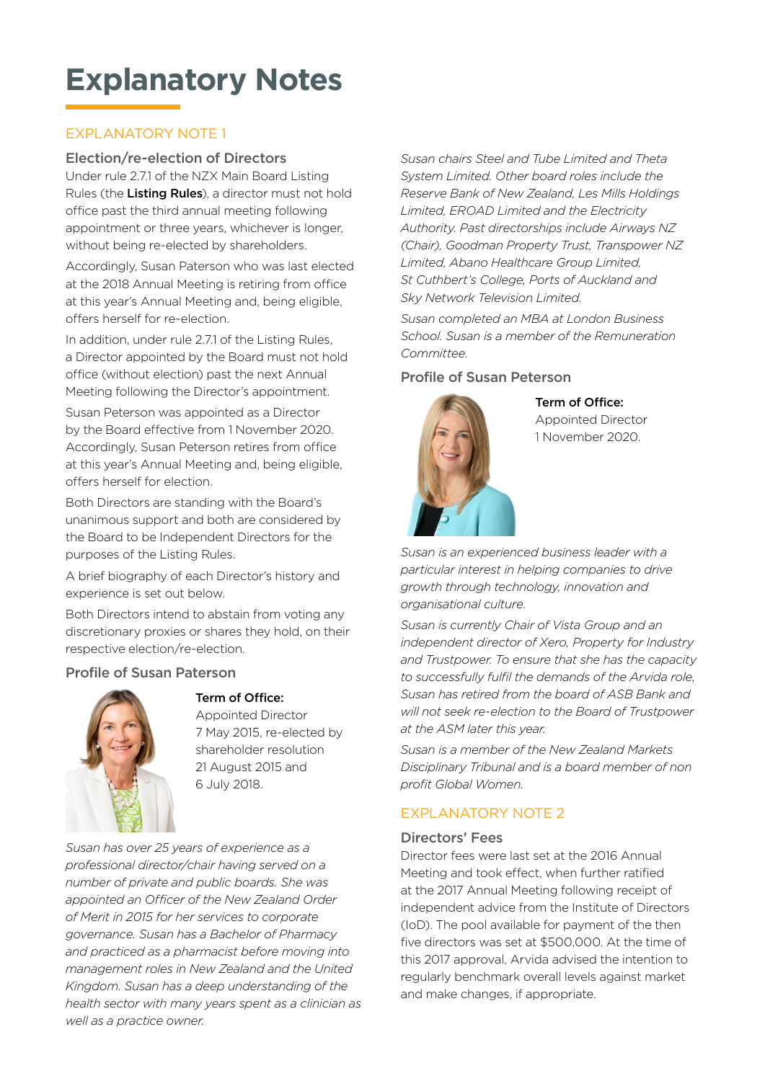### **Explanatory Notes**

#### EXPLANATORY NOTE 1

#### Election/re-election of Directors

Under rule 2.7.1 of the NZX Main Board Listing Rules (the Listing Rules), a director must not hold office past the third annual meeting following appointment or three years, whichever is longer, without being re-elected by shareholders.

Accordingly, Susan Paterson who was last elected at the 2018 Annual Meeting is retiring from office at this year's Annual Meeting and, being eligible, offers herself for re-election.

In addition, under rule 2.7.1 of the Listing Rules, a Director appointed by the Board must not hold office (without election) past the next Annual Meeting following the Director's appointment.

Susan Peterson was appointed as a Director by the Board effective from 1 November 2020. Accordingly, Susan Peterson retires from office at this year's Annual Meeting and, being eligible, offers herself for election.

Both Directors are standing with the Board's unanimous support and both are considered by the Board to be Independent Directors for the purposes of the Listing Rules.

A brief biography of each Director's history and experience is set out below.

Both Directors intend to abstain from voting any discretionary proxies or shares they hold, on their respective election/re-election.

#### Profile of Susan Paterson



#### Term of Office:

Appointed Director 7 May 2015, re-elected by shareholder resolution 21 August 2015 and 6 July 2018.

*Susan has over 25 years of experience as a professional director/chair having served on a number of private and public boards. She was appointed an Officer of the New Zealand Order of Merit in 2015 for her services to corporate governance. Susan has a Bachelor of Pharmacy and practiced as a pharmacist before moving into management roles in New Zealand and the United Kingdom. Susan has a deep understanding of the health sector with many years spent as a clinician as well as a practice owner.* 

*Susan chairs Steel and Tube Limited and Theta System Limited. Other board roles include the Reserve Bank of New Zealand, Les Mills Holdings Limited, EROAD Limited and the Electricity Authority. Past directorships include Airways NZ (Chair), Goodman Property Trust, Transpower NZ Limited, Abano Healthcare Group Limited, St Cuthbert's College, Ports of Auckland and Sky Network Television Limited.* 

*Susan completed an MBA at London Business School. Susan is a member of the Remuneration Committee.* 

#### Profile of Susan Peterson



Term of Office: Appointed Director 1 November 2020.

*Susan is an experienced business leader with a particular interest in helping companies to drive growth through technology, innovation and organisational culture.* 

*Susan is currently Chair of Vista Group and an independent director of Xero, Property for Industry and Trustpower. To ensure that she has the capacity to successfully fulfil the demands of the Arvida role, Susan has retired from the board of ASB Bank and will not seek re-election to the Board of Trustpower at the ASM later this year.* 

*Susan is a member of the New Zealand Markets Disciplinary Tribunal and is a board member of non profit Global Women.* 

#### EXPLANATORY NOTE 2

#### Directors' Fees

Director fees were last set at the 2016 Annual Meeting and took effect, when further ratified at the 2017 Annual Meeting following receipt of independent advice from the Institute of Directors (IoD). The pool available for payment of the then five directors was set at \$500,000. At the time of this 2017 approval, Arvida advised the intention to regularly benchmark overall levels against market and make changes, if appropriate.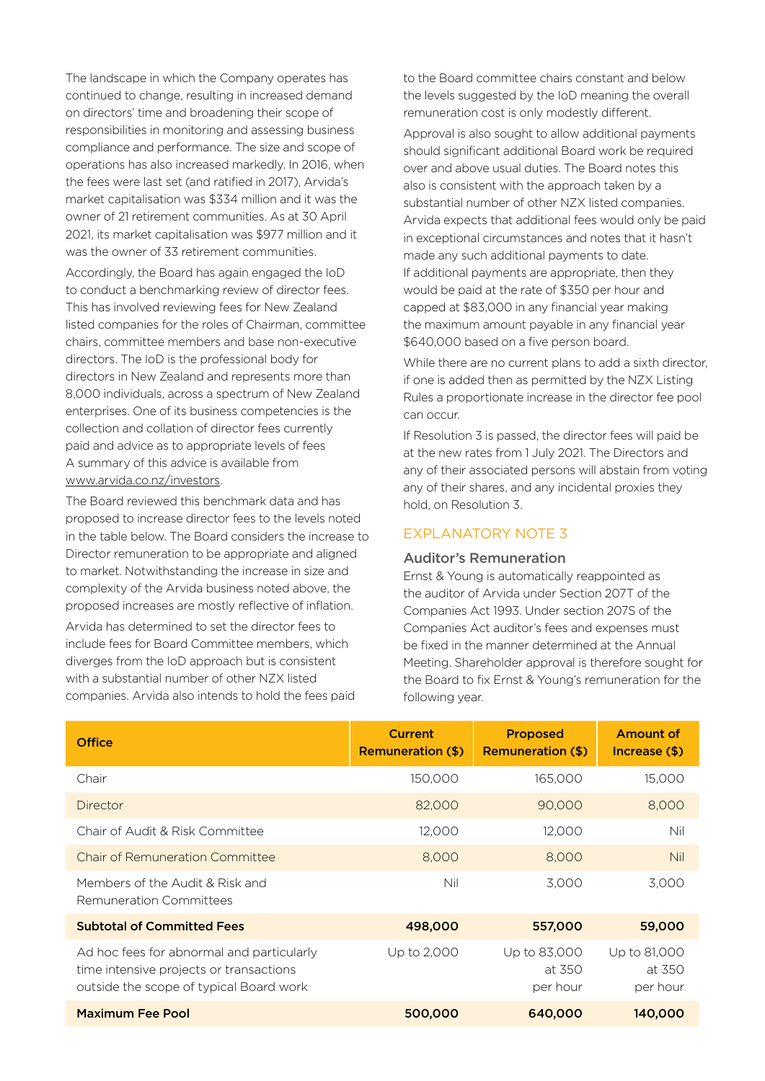The landscape in which the Company operates has continued to change, resulting in increased demand on directors' time and broadening their scope of responsibilities in monitoring and assessing business compliance and performance. The size and scope of operations has also increased markedly. In 2016, when the fees were last set (and ratified in 2017), Arvida's market capitalisation was \$334 million and it was the owner of 21 retirement communities. As at 30 April 2021, its market capitalisation was \$977 million and it was the owner of 33 retirement communities.

Accordingly, the Board has again engaged the IoD to conduct a benchmarking review of director fees. This has involved reviewing fees for New Zealand listed companies for the roles of Chairman, committee chairs, committee members and base non-executive directors. The IoD is the professional body for directors in New Zealand and represents more than 8,000 individuals, across a spectrum of New Zealand enterprises. One of its business competencies is the collection and collation of director fees currently paid and advice as to appropriate levels of fees A summary of this advice is available from [www.arvida.co.nz/investors](http://www.arvida.co.nz/investors).

The Board reviewed this benchmark data and has proposed to increase director fees to the levels noted in the table below. The Board considers the increase to Director remuneration to be appropriate and aligned to market. Notwithstanding the increase in size and complexity of the Arvida business noted above, the proposed increases are mostly reflective of inflation. Arvida has determined to set the director fees to include fees for Board Committee members, which diverges from the IoD approach but is consistent with a substantial number of other NZX listed companies. Arvida also intends to hold the fees paid

to the Board committee chairs constant and below the levels suggested by the IoD meaning the overall remuneration cost is only modestly different.

Approval is also sought to allow additional payments should significant additional Board work be required over and above usual duties. The Board notes this also is consistent with the approach taken by a substantial number of other NZX listed companies. Arvida expects that additional fees would only be paid in exceptional circumstances and notes that it hasn't made any such additional payments to date. If additional payments are appropriate, then they would be paid at the rate of \$350 per hour and capped at \$83,000 in any financial year making the maximum amount payable in any financial year \$640,000 based on a five person board.

While there are no current plans to add a sixth director, if one is added then as permitted by the NZX Listing Rules a proportionate increase in the director fee pool can occur.

If Resolution 3 is passed, the director fees will paid be at the new rates from 1 July 2021. The Directors and any of their associated persons will abstain from voting any of their shares, and any incidental proxies they hold, on Resolution 3.

#### EXPLANATORY NOTE 3

#### Auditor's Remuneration

Ernst & Young is automatically reappointed as the auditor of Arvida under Section 207T of the Companies Act 1993. Under section 207S of the Companies Act auditor's fees and expenses must be fixed in the manner determined at the Annual Meeting. Shareholder approval is therefore sought for the Board to fix Ernst & Young's remuneration for the following year.

| <b>Office</b>                                                                                                                   | <b>Current</b><br><b>Remuneration (\$)</b> | <b>Proposed</b><br><b>Remuneration (\$)</b> | <b>Amount of</b><br>Increase (\$)  |
|---------------------------------------------------------------------------------------------------------------------------------|--------------------------------------------|---------------------------------------------|------------------------------------|
| Chair                                                                                                                           | 150,000                                    | 165,000                                     | 15,000                             |
| Director                                                                                                                        | 82,000                                     | 90,000                                      | 8,000                              |
| Chair of Audit & Risk Committee                                                                                                 | 12,000                                     | 12,000                                      | Nil                                |
| Chair of Remuneration Committee                                                                                                 | 8,000                                      | 8,000                                       | <b>Nil</b>                         |
| Members of the Audit & Risk and<br>Remuneration Committees                                                                      | Nil                                        | 3,000                                       | 3,000                              |
| <b>Subtotal of Committed Fees</b>                                                                                               | 498,000                                    | 557,000                                     | 59,000                             |
| Ad hoc fees for abnormal and particularly<br>time intensive projects or transactions<br>outside the scope of typical Board work | Up to 2,000                                | Up to 83,000<br>at 350<br>per hour          | Up to 81,000<br>at 350<br>per hour |
| <b>Maximum Fee Pool</b>                                                                                                         | 500,000                                    | 640,000                                     | 140,000                            |